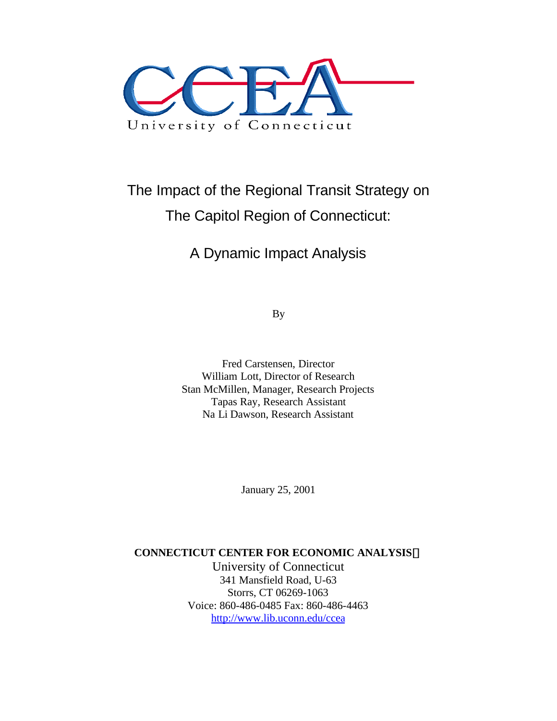

# The Impact of the Regional Transit Strategy on The Capitol Region of Connecticut:

## A Dynamic Impact Analysis

By

Fred Carstensen, Director William Lott, Director of Research Stan McMillen, Manager, Research Projects Tapas Ray, Research Assistant Na Li Dawson, Research Assistant

January 25, 2001

#### **CONNECTICUT CENTER FOR ECONOMIC ANALYSISã**

University of Connecticut 341 Mansfield Road, U-63 Storrs, CT 06269-1063 Voice: 860-486-0485 Fax: 860-486-4463 http://www.lib.uconn.edu/ccea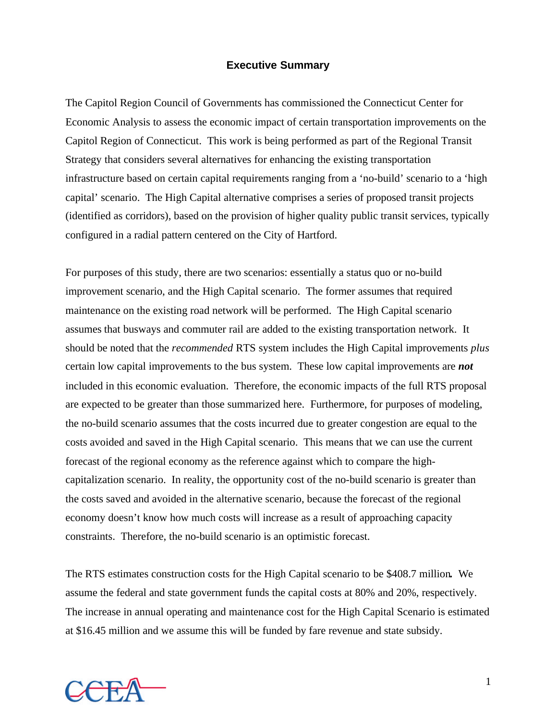#### **Executive Summary**

The Capitol Region Council of Governments has commissioned the Connecticut Center for Economic Analysis to assess the economic impact of certain transportation improvements on the Capitol Region of Connecticut. This work is being performed as part of the Regional Transit Strategy that considers several alternatives for enhancing the existing transportation infrastructure based on certain capital requirements ranging from a 'no-build' scenario to a 'high capital' scenario. The High Capital alternative comprises a series of proposed transit projects (identified as corridors), based on the provision of higher quality public transit services, typically configured in a radial pattern centered on the City of Hartford.

For purposes of this study, there are two scenarios: essentially a status quo or no-build improvement scenario, and the High Capital scenario. The former assumes that required maintenance on the existing road network will be performed. The High Capital scenario assumes that busways and commuter rail are added to the existing transportation network. It should be noted that the *recommended* RTS system includes the High Capital improvements *plus* certain low capital improvements to the bus system. These low capital improvements are *not* included in this economic evaluation. Therefore, the economic impacts of the full RTS proposal are expected to be greater than those summarized here. Furthermore, for purposes of modeling, the no-build scenario assumes that the costs incurred due to greater congestion are equal to the costs avoided and saved in the High Capital scenario. This means that we can use the current forecast of the regional economy as the reference against which to compare the highcapitalization scenario. In reality, the opportunity cost of the no-build scenario is greater than the costs saved and avoided in the alternative scenario, because the forecast of the regional economy doesn't know how much costs will increase as a result of approaching capacity constraints. Therefore, the no-build scenario is an optimistic forecast.

The RTS estimates construction costs for the High Capital scenario to be \$408.7 million*.* We assume the federal and state government funds the capital costs at 80% and 20%, respectively. The increase in annual operating and maintenance cost for the High Capital Scenario is estimated at \$16.45 million and we assume this will be funded by fare revenue and state subsidy.

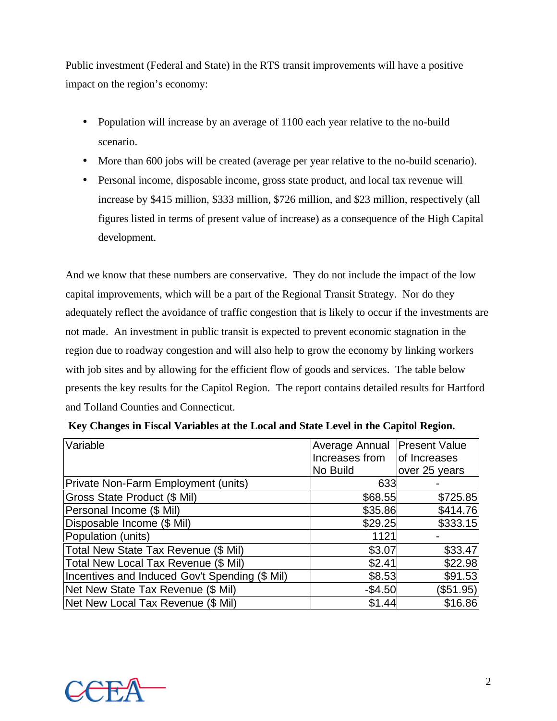Public investment (Federal and State) in the RTS transit improvements will have a positive impact on the region's economy:

- Population will increase by an average of 1100 each year relative to the no-build scenario.
- More than 600 jobs will be created (average per year relative to the no-build scenario).
- Personal income, disposable income, gross state product, and local tax revenue will increase by \$415 million, \$333 million, \$726 million, and \$23 million, respectively (all figures listed in terms of present value of increase) as a consequence of the High Capital development.

And we know that these numbers are conservative. They do not include the impact of the low capital improvements, which will be a part of the Regional Transit Strategy. Nor do they adequately reflect the avoidance of traffic congestion that is likely to occur if the investments are not made. An investment in public transit is expected to prevent economic stagnation in the region due to roadway congestion and will also help to grow the economy by linking workers with job sites and by allowing for the efficient flow of goods and services. The table below presents the key results for the Capitol Region. The report contains detailed results for Hartford and Tolland Counties and Connecticut.

| Variable                                       | Average Annual | <b>Present Value</b> |
|------------------------------------------------|----------------|----------------------|
|                                                | Increases from | of Increases         |
|                                                | No Build       | over 25 years        |
| Private Non-Farm Employment (units)            | 633            |                      |
| <b>Gross State Product (\$ Mil)</b>            | \$68.55        | \$725.85             |
| Personal Income (\$ Mil)                       | \$35.86        | \$414.76             |
| Disposable Income (\$ Mil)                     | \$29.25        | \$333.15             |
| Population (units)                             | 1121           |                      |
| Total New State Tax Revenue (\$ Mil)           | \$3.07         | \$33.47              |
| Total New Local Tax Revenue (\$ Mil)           | \$2.41         | \$22.98              |
| Incentives and Induced Gov't Spending (\$ Mil) | \$8.53         | \$91.53              |
| Net New State Tax Revenue (\$ Mil)             | $-$4.50$       | (\$51.95)            |
| Net New Local Tax Revenue (\$ Mil)             | \$1.44         | \$16.86              |

|  |  | Key Changes in Fiscal Variables at the Local and State Level in the Capitol Region. |  |  |
|--|--|-------------------------------------------------------------------------------------|--|--|

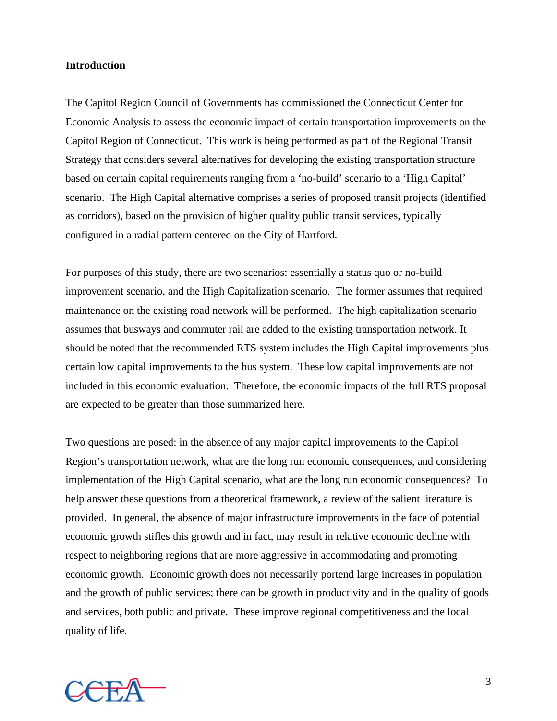#### **Introduction**

The Capitol Region Council of Governments has commissioned the Connecticut Center for Economic Analysis to assess the economic impact of certain transportation improvements on the Capitol Region of Connecticut. This work is being performed as part of the Regional Transit Strategy that considers several alternatives for developing the existing transportation structure based on certain capital requirements ranging from a 'no-build' scenario to a 'High Capital' scenario. The High Capital alternative comprises a series of proposed transit projects (identified as corridors), based on the provision of higher quality public transit services, typically configured in a radial pattern centered on the City of Hartford.

For purposes of this study, there are two scenarios: essentially a status quo or no-build improvement scenario, and the High Capitalization scenario. The former assumes that required maintenance on the existing road network will be performed. The high capitalization scenario assumes that busways and commuter rail are added to the existing transportation network. It should be noted that the recommended RTS system includes the High Capital improvements plus certain low capital improvements to the bus system. These low capital improvements are not included in this economic evaluation. Therefore, the economic impacts of the full RTS proposal are expected to be greater than those summarized here.

Two questions are posed: in the absence of any major capital improvements to the Capitol Region's transportation network, what are the long run economic consequences, and considering implementation of the High Capital scenario, what are the long run economic consequences? To help answer these questions from a theoretical framework, a review of the salient literature is provided. In general, the absence of major infrastructure improvements in the face of potential economic growth stifles this growth and in fact, may result in relative economic decline with respect to neighboring regions that are more aggressive in accommodating and promoting economic growth. Economic growth does not necessarily portend large increases in population and the growth of public services; there can be growth in productivity and in the quality of goods and services, both public and private. These improve regional competitiveness and the local quality of life.

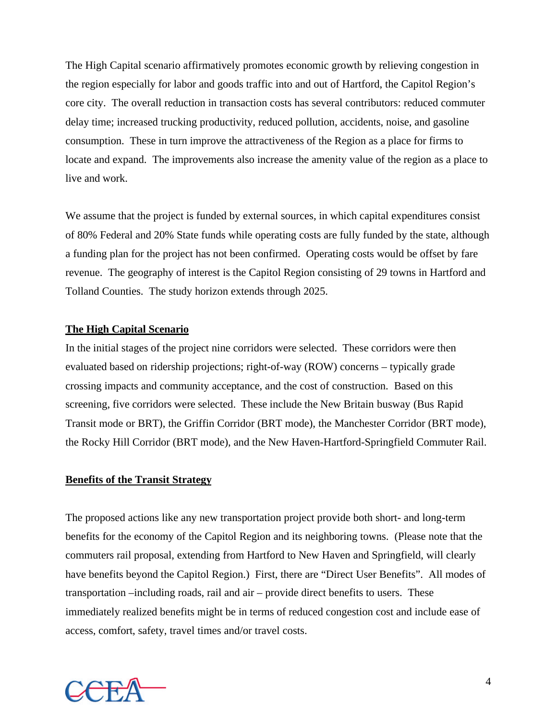The High Capital scenario affirmatively promotes economic growth by relieving congestion in the region especially for labor and goods traffic into and out of Hartford, the Capitol Region's core city. The overall reduction in transaction costs has several contributors: reduced commuter delay time; increased trucking productivity, reduced pollution, accidents, noise, and gasoline consumption. These in turn improve the attractiveness of the Region as a place for firms to locate and expand. The improvements also increase the amenity value of the region as a place to live and work.

We assume that the project is funded by external sources, in which capital expenditures consist of 80% Federal and 20% State funds while operating costs are fully funded by the state, although a funding plan for the project has not been confirmed. Operating costs would be offset by fare revenue. The geography of interest is the Capitol Region consisting of 29 towns in Hartford and Tolland Counties. The study horizon extends through 2025.

#### **The High Capital Scenario**

In the initial stages of the project nine corridors were selected. These corridors were then evaluated based on ridership projections; right-of-way (ROW) concerns – typically grade crossing impacts and community acceptance, and the cost of construction. Based on this screening, five corridors were selected. These include the New Britain busway (Bus Rapid Transit mode or BRT), the Griffin Corridor (BRT mode), the Manchester Corridor (BRT mode), the Rocky Hill Corridor (BRT mode), and the New Haven-Hartford-Springfield Commuter Rail.

#### **Benefits of the Transit Strategy**

The proposed actions like any new transportation project provide both short- and long-term benefits for the economy of the Capitol Region and its neighboring towns. (Please note that the commuters rail proposal, extending from Hartford to New Haven and Springfield, will clearly have benefits beyond the Capitol Region.) First, there are "Direct User Benefits". All modes of transportation –including roads, rail and air – provide direct benefits to users. These immediately realized benefits might be in terms of reduced congestion cost and include ease of access, comfort, safety, travel times and/or travel costs.

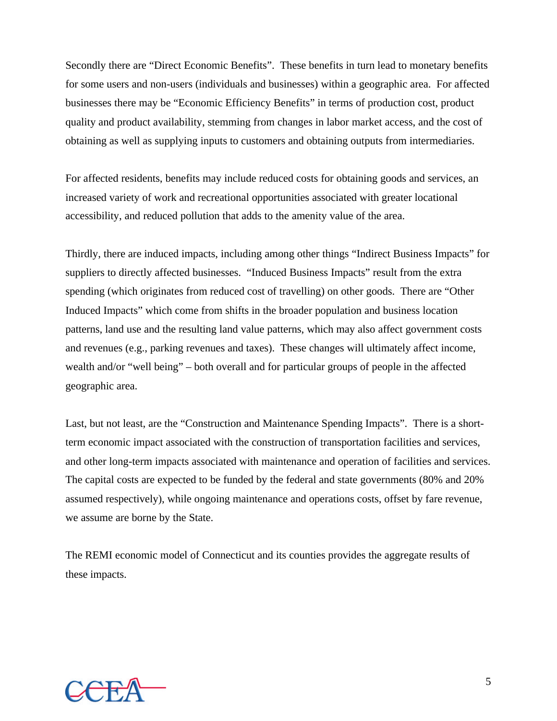Secondly there are "Direct Economic Benefits". These benefits in turn lead to monetary benefits for some users and non-users (individuals and businesses) within a geographic area. For affected businesses there may be "Economic Efficiency Benefits" in terms of production cost, product quality and product availability, stemming from changes in labor market access, and the cost of obtaining as well as supplying inputs to customers and obtaining outputs from intermediaries.

For affected residents, benefits may include reduced costs for obtaining goods and services, an increased variety of work and recreational opportunities associated with greater locational accessibility, and reduced pollution that adds to the amenity value of the area.

Thirdly, there are induced impacts, including among other things "Indirect Business Impacts" for suppliers to directly affected businesses. "Induced Business Impacts" result from the extra spending (which originates from reduced cost of travelling) on other goods. There are "Other Induced Impacts" which come from shifts in the broader population and business location patterns, land use and the resulting land value patterns, which may also affect government costs and revenues (e.g., parking revenues and taxes). These changes will ultimately affect income, wealth and/or "well being" – both overall and for particular groups of people in the affected geographic area.

Last, but not least, are the "Construction and Maintenance Spending Impacts". There is a shortterm economic impact associated with the construction of transportation facilities and services, and other long-term impacts associated with maintenance and operation of facilities and services. The capital costs are expected to be funded by the federal and state governments (80% and 20% assumed respectively), while ongoing maintenance and operations costs, offset by fare revenue, we assume are borne by the State.

The REMI economic model of Connecticut and its counties provides the aggregate results of these impacts.

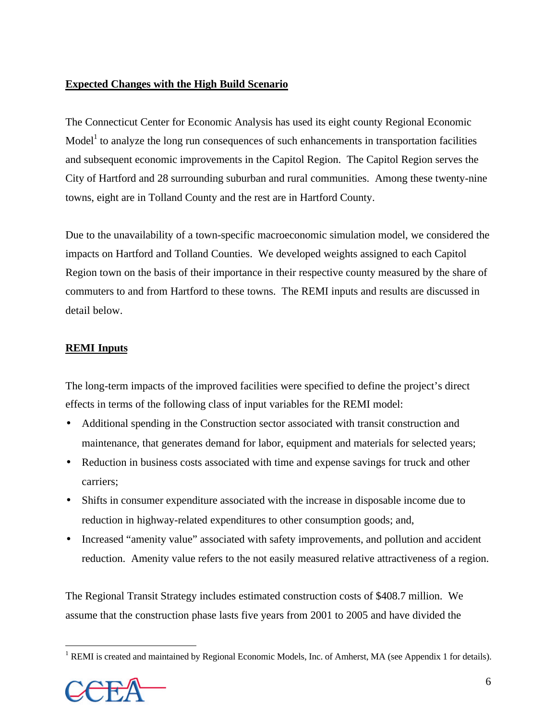#### **Expected Changes with the High Build Scenario**

The Connecticut Center for Economic Analysis has used its eight county Regional Economic Model<sup>1</sup> to analyze the long run consequences of such enhancements in transportation facilities and subsequent economic improvements in the Capitol Region. The Capitol Region serves the City of Hartford and 28 surrounding suburban and rural communities. Among these twenty-nine towns, eight are in Tolland County and the rest are in Hartford County.

Due to the unavailability of a town-specific macroeconomic simulation model, we considered the impacts on Hartford and Tolland Counties. We developed weights assigned to each Capitol Region town on the basis of their importance in their respective county measured by the share of commuters to and from Hartford to these towns. The REMI inputs and results are discussed in detail below.

#### **REMI Inputs**

The long-term impacts of the improved facilities were specified to define the project's direct effects in terms of the following class of input variables for the REMI model:

- Additional spending in the Construction sector associated with transit construction and maintenance, that generates demand for labor, equipment and materials for selected years;
- Reduction in business costs associated with time and expense savings for truck and other carriers;
- Shifts in consumer expenditure associated with the increase in disposable income due to reduction in highway-related expenditures to other consumption goods; and,
- Increased "amenity value" associated with safety improvements, and pollution and accident reduction. Amenity value refers to the not easily measured relative attractiveness of a region.

The Regional Transit Strategy includes estimated construction costs of \$408.7 million. We assume that the construction phase lasts five years from 2001 to 2005 and have divided the

<sup>&</sup>lt;sup>1</sup> REMI is created and maintained by Regional Economic Models, Inc. of Amherst, MA (see Appendix 1 for details).



 $\overline{a}$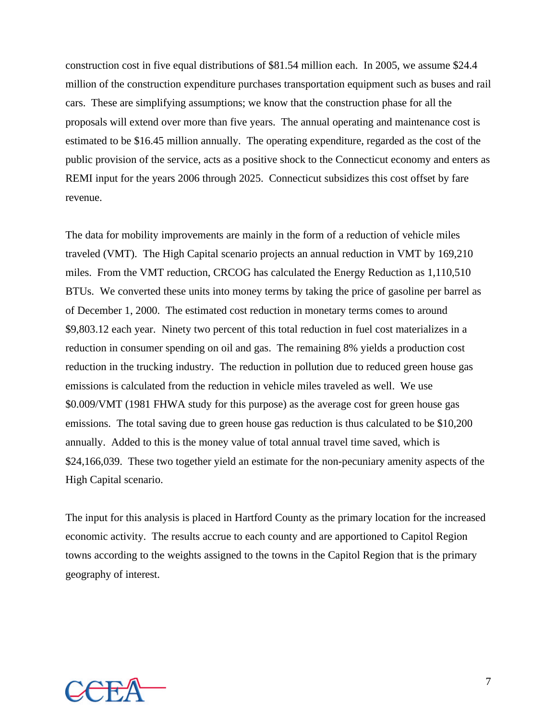construction cost in five equal distributions of \$81.54 million each. In 2005, we assume \$24.4 million of the construction expenditure purchases transportation equipment such as buses and rail cars. These are simplifying assumptions; we know that the construction phase for all the proposals will extend over more than five years. The annual operating and maintenance cost is estimated to be \$16.45 million annually. The operating expenditure, regarded as the cost of the public provision of the service, acts as a positive shock to the Connecticut economy and enters as REMI input for the years 2006 through 2025. Connecticut subsidizes this cost offset by fare revenue.

The data for mobility improvements are mainly in the form of a reduction of vehicle miles traveled (VMT). The High Capital scenario projects an annual reduction in VMT by 169,210 miles. From the VMT reduction, CRCOG has calculated the Energy Reduction as 1,110,510 BTUs. We converted these units into money terms by taking the price of gasoline per barrel as of December 1, 2000. The estimated cost reduction in monetary terms comes to around \$9,803.12 each year. Ninety two percent of this total reduction in fuel cost materializes in a reduction in consumer spending on oil and gas. The remaining 8% yields a production cost reduction in the trucking industry. The reduction in pollution due to reduced green house gas emissions is calculated from the reduction in vehicle miles traveled as well. We use \$0.009/VMT (1981 FHWA study for this purpose) as the average cost for green house gas emissions. The total saving due to green house gas reduction is thus calculated to be \$10,200 annually. Added to this is the money value of total annual travel time saved, which is \$24,166,039. These two together yield an estimate for the non-pecuniary amenity aspects of the High Capital scenario.

The input for this analysis is placed in Hartford County as the primary location for the increased economic activity. The results accrue to each county and are apportioned to Capitol Region towns according to the weights assigned to the towns in the Capitol Region that is the primary geography of interest.

![](_page_7_Picture_3.jpeg)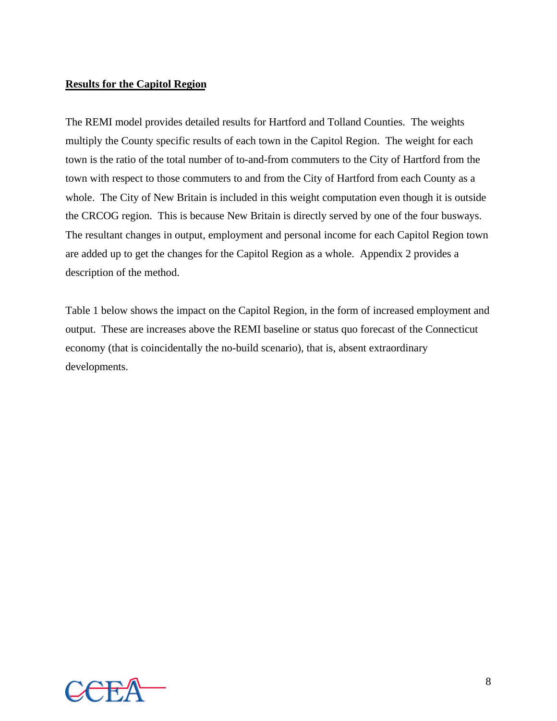#### **Results for the Capitol Region**

The REMI model provides detailed results for Hartford and Tolland Counties. The weights multiply the County specific results of each town in the Capitol Region. The weight for each town is the ratio of the total number of to-and-from commuters to the City of Hartford from the town with respect to those commuters to and from the City of Hartford from each County as a whole. The City of New Britain is included in this weight computation even though it is outside the CRCOG region. This is because New Britain is directly served by one of the four busways. The resultant changes in output, employment and personal income for each Capitol Region town are added up to get the changes for the Capitol Region as a whole. Appendix 2 provides a description of the method.

Table 1 below shows the impact on the Capitol Region, in the form of increased employment and output. These are increases above the REMI baseline or status quo forecast of the Connecticut economy (that is coincidentally the no-build scenario), that is, absent extraordinary developments.

![](_page_8_Picture_3.jpeg)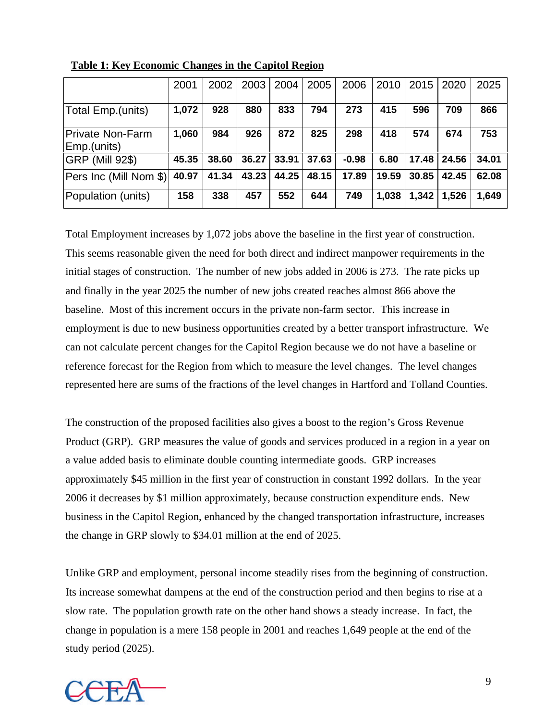|                                 | 2001  | 2002  | 2003  | 2004  | 2005  | 2006    | 2010  | 2015  | 2020  | 2025  |
|---------------------------------|-------|-------|-------|-------|-------|---------|-------|-------|-------|-------|
| Total Emp.(units)               | 1,072 | 928   | 880   | 833   | 794   | 273     | 415   | 596   | 709   | 866   |
| Private Non-Farm<br>Emp.(units) | 1,060 | 984   | 926   | 872   | 825   | 298     | 418   | 574   | 674   | 753   |
| <b>GRP (Mill 92\$)</b>          | 45.35 | 38.60 | 36.27 | 33.91 | 37.63 | $-0.98$ | 6.80  | 17.48 | 24.56 | 34.01 |
| Pers Inc (Mill Nom \$)          | 40.97 | 41.34 | 43.23 | 44.25 | 48.15 | 17.89   | 19.59 | 30.85 | 42.45 | 62.08 |
| Population (units)              | 158   | 338   | 457   | 552   | 644   | 749     | 1,038 | 1,342 | 1,526 | 1,649 |

 **Table 1: Key Economic Changes in the Capitol Region**

Total Employment increases by 1,072 jobs above the baseline in the first year of construction. This seems reasonable given the need for both direct and indirect manpower requirements in the initial stages of construction. The number of new jobs added in 2006 is 273. The rate picks up and finally in the year 2025 the number of new jobs created reaches almost 866 above the baseline. Most of this increment occurs in the private non-farm sector. This increase in employment is due to new business opportunities created by a better transport infrastructure. We can not calculate percent changes for the Capitol Region because we do not have a baseline or reference forecast for the Region from which to measure the level changes. The level changes represented here are sums of the fractions of the level changes in Hartford and Tolland Counties.

The construction of the proposed facilities also gives a boost to the region's Gross Revenue Product (GRP). GRP measures the value of goods and services produced in a region in a year on a value added basis to eliminate double counting intermediate goods. GRP increases approximately \$45 million in the first year of construction in constant 1992 dollars. In the year 2006 it decreases by \$1 million approximately, because construction expenditure ends. New business in the Capitol Region, enhanced by the changed transportation infrastructure, increases the change in GRP slowly to \$34.01 million at the end of 2025.

Unlike GRP and employment, personal income steadily rises from the beginning of construction. Its increase somewhat dampens at the end of the construction period and then begins to rise at a slow rate. The population growth rate on the other hand shows a steady increase. In fact, the change in population is a mere 158 people in 2001 and reaches 1,649 people at the end of the study period (2025).

![](_page_9_Picture_5.jpeg)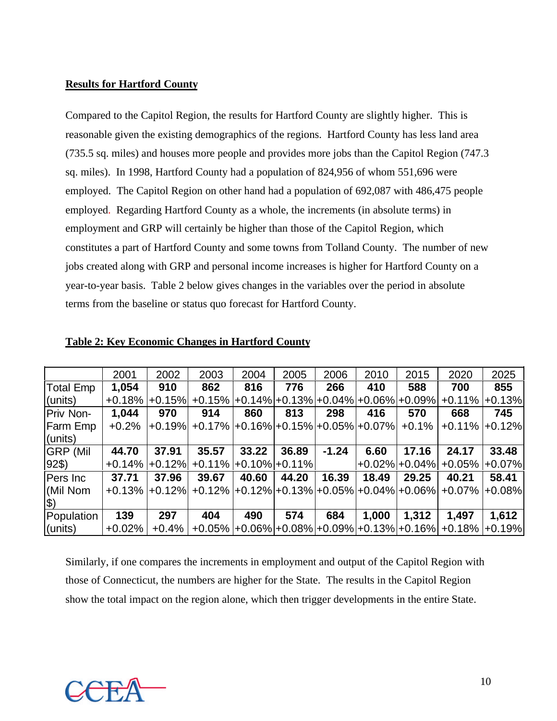#### **Results for Hartford County**

Compared to the Capitol Region, the results for Hartford County are slightly higher. This is reasonable given the existing demographics of the regions. Hartford County has less land area (735.5 sq. miles) and houses more people and provides more jobs than the Capitol Region (747.3 sq. miles). In 1998, Hartford County had a population of 824,956 of whom 551,696 were employed. The Capitol Region on other hand had a population of 692,087 with 486,475 people employed. Regarding Hartford County as a whole, the increments (in absolute terms) in employment and GRP will certainly be higher than those of the Capitol Region, which constitutes a part of Hartford County and some towns from Tolland County. The number of new jobs created along with GRP and personal income increases is higher for Hartford County on a year-to-year basis. Table 2 below gives changes in the variables over the period in absolute terms from the baseline or status quo forecast for Hartford County.

|                  | 2001      | 2002     | 2003                                         | 2004  | 2005  | 2006    | 2010            | 2015    | 2020                                                | 2025     |
|------------------|-----------|----------|----------------------------------------------|-------|-------|---------|-----------------|---------|-----------------------------------------------------|----------|
| Total Emp        | 1,054     | 910      | 862                                          |       | 776   | 266     | 410             | 588     | 700                                                 | 855      |
| $l$ (units)      | $+0.18%$  | $+0.15%$ | $+0.15\%$ +0.14% +0.13% +0.04% +0.06% +0.09% |       |       |         |                 |         | $+0.11%$                                            | $+0.13%$ |
| Priv Non-        | 1,044     | 970      | 914                                          | 860   | 813   | 298     | 416             | 570     | 668                                                 | 745      |
| <b>Farm Emp</b>  | $+0.2%$   | $+0.19%$ | $+0.17\%$ +0.16% +0.15% +0.05% +0.07%        |       |       |         |                 | $+0.1%$ | $+0.11%$                                            | $+0.12%$ |
| $l$ (units)      |           |          |                                              |       |       |         |                 |         |                                                     |          |
| <b>IGRP (Mil</b> | 44.70     | 37.91    | 35.57                                        | 33.22 | 36.89 | $-1.24$ | 6.60            | 17.16   | 24.17                                               | 33.48    |
| $ 92\$           | $+0.14\%$ | $+0.12%$ | $+0.11\%$ +0.10% +0.11%                      |       |       |         | l+0.02%l+0.04%l |         | $+0.05%$                                            | $+0.07%$ |
| Pers Inc         | 37.71     | 37.96    | 39.67                                        | 40.60 | 44.20 | 16.39   | 18.49           | 29.25   | 40.21                                               | 58.41    |
| (Mil Nom         | $+0.13%$  | $+0.12%$ |                                              |       |       |         |                 |         | $+0.12\%$ +0.12% +0.13% +0.05% +0.04% +0.06% +0.07% | $+0.08%$ |
| $\ket{\$}$       |           |          |                                              |       |       |         |                 |         |                                                     |          |
| Population       | 139       | 297      | 404                                          | 490   | 574   | 684     | 1,000           | 1,312   | 1,497                                               | 1,612    |
| $l$ (units)      | $+0.02\%$ | $+0.4%$  |                                              |       |       |         |                 |         | $+0.05\%$ +0.06% +0.08% +0.09% +0.13% +0.16% +0.18% | $+0.19%$ |

#### **Table 2: Key Economic Changes in Hartford County**

Similarly, if one compares the increments in employment and output of the Capitol Region with those of Connecticut, the numbers are higher for the State. The results in the Capitol Region show the total impact on the region alone, which then trigger developments in the entire State.

![](_page_10_Picture_5.jpeg)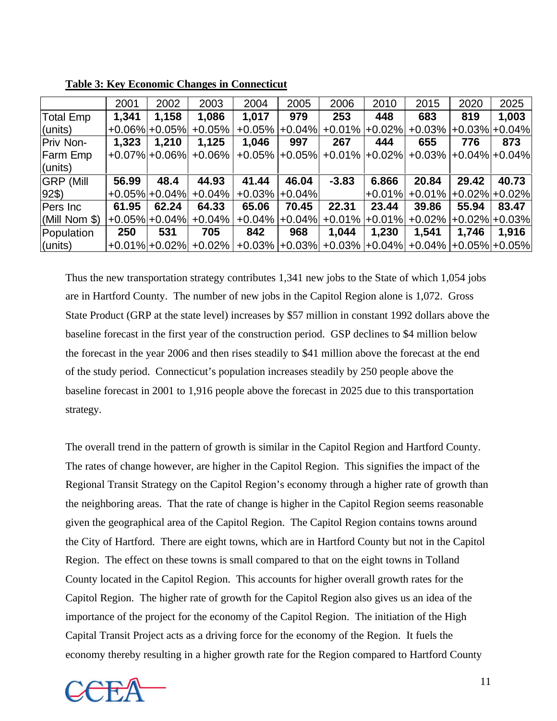|                  | 2001  | 2002              | 2003      | 2004     | 2005     | 2006                                         | 2010     | 2015                    | 2020  | 2025              |
|------------------|-------|-------------------|-----------|----------|----------|----------------------------------------------|----------|-------------------------|-------|-------------------|
| Total Emp        | 1,341 | 1,158             | 1,086     | 1,017    | 979      | 253                                          | 448      | 683                     | 819   | 1,003             |
| (units)          |       | $+0.06\%$ + 0.05% | $+0.05%$  | $+0.05%$ | $+0.04%$ | $+0.01%$                                     | $+0.02%$ | $+0.03%$                |       | $+0.03\%$ + 0.04% |
| Priv Non-        | 1,323 | 1,210             | 1,125     | 1,046    | 997      | 267                                          | 444      | 655                     | 776   | 873               |
| <b>Farm Emp</b>  |       | $+0.07\%$ + 0.06% | $+0.06\%$ | $+0.05%$ |          | $+0.05\%$ +0.01% +0.02%                      |          | $+0.03\%$ +0.04% +0.04% |       |                   |
| (units)          |       |                   |           |          |          |                                              |          |                         |       |                   |
| <b>GRP (Mill</b> | 56.99 | 48.4              | 44.93     | 41.44    | 46.04    | $-3.83$                                      | 6.866    | 20.84                   | 29.42 | 40.73             |
| $ 92\$           |       | $+0.05\%$ + 0.04% | $+0.04%$  | $+0.03%$ | $+0.04%$ |                                              | $+0.01%$ | $+0.01\%$               |       | $+0.02\%$ + 0.02% |
| Pers Inc         | 61.95 | 62.24             | 64.33     | 65.06    | 70.45    | 22.31                                        | 23.44    | 39.86                   | 55.94 | 83.47             |
| (Mill Nom \$)    |       | $+0.05\%$ + 0.04% | $+0.04%$  | $+0.04%$ | $+0.04%$ | $+0.01%$                                     | $+0.01%$ | $+0.02%$                |       | $+0.02\% +0.03\%$ |
| Population       | 250   | 531               | 705       | 842      | 968      | 1,044                                        | 1,230    | 1,541                   | 1,746 | 1,916             |
| $ $ (units)      |       | $+0.01\%$ + 0.02% | $+0.02\%$ | $+0.03%$ |          | $+0.03\%$ +0.03% +0.04% +0.04% +0.05% +0.05% |          |                         |       |                   |

**Table 3: Key Economic Changes in Connecticut**

Thus the new transportation strategy contributes 1,341 new jobs to the State of which 1,054 jobs are in Hartford County. The number of new jobs in the Capitol Region alone is 1,072. Gross State Product (GRP at the state level) increases by \$57 million in constant 1992 dollars above the baseline forecast in the first year of the construction period. GSP declines to \$4 million below the forecast in the year 2006 and then rises steadily to \$41 million above the forecast at the end of the study period. Connecticut's population increases steadily by 250 people above the baseline forecast in 2001 to 1,916 people above the forecast in 2025 due to this transportation strategy.

The overall trend in the pattern of growth is similar in the Capitol Region and Hartford County. The rates of change however, are higher in the Capitol Region. This signifies the impact of the Regional Transit Strategy on the Capitol Region's economy through a higher rate of growth than the neighboring areas. That the rate of change is higher in the Capitol Region seems reasonable given the geographical area of the Capitol Region. The Capitol Region contains towns around the City of Hartford. There are eight towns, which are in Hartford County but not in the Capitol Region. The effect on these towns is small compared to that on the eight towns in Tolland County located in the Capitol Region. This accounts for higher overall growth rates for the Capitol Region. The higher rate of growth for the Capitol Region also gives us an idea of the importance of the project for the economy of the Capitol Region. The initiation of the High Capital Transit Project acts as a driving force for the economy of the Region. It fuels the economy thereby resulting in a higher growth rate for the Region compared to Hartford County

![](_page_11_Picture_4.jpeg)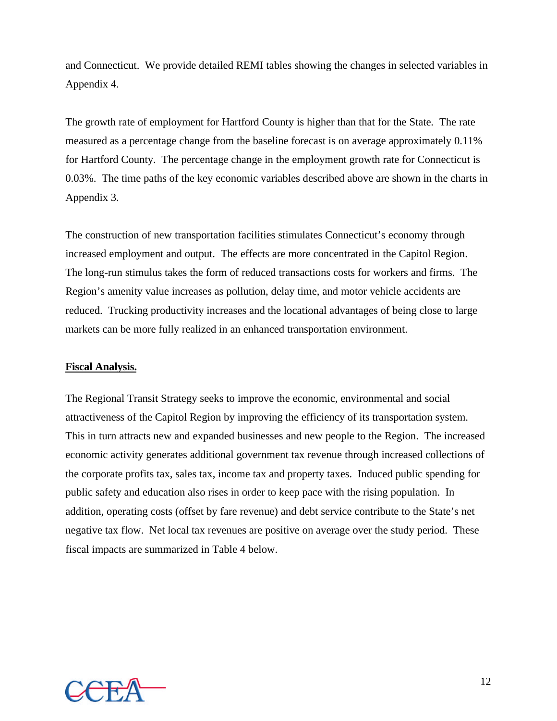and Connecticut. We provide detailed REMI tables showing the changes in selected variables in Appendix 4.

The growth rate of employment for Hartford County is higher than that for the State. The rate measured as a percentage change from the baseline forecast is on average approximately 0.11% for Hartford County. The percentage change in the employment growth rate for Connecticut is 0.03%. The time paths of the key economic variables described above are shown in the charts in Appendix 3.

The construction of new transportation facilities stimulates Connecticut's economy through increased employment and output. The effects are more concentrated in the Capitol Region. The long-run stimulus takes the form of reduced transactions costs for workers and firms. The Region's amenity value increases as pollution, delay time, and motor vehicle accidents are reduced. Trucking productivity increases and the locational advantages of being close to large markets can be more fully realized in an enhanced transportation environment.

#### **Fiscal Analysis.**

The Regional Transit Strategy seeks to improve the economic, environmental and social attractiveness of the Capitol Region by improving the efficiency of its transportation system. This in turn attracts new and expanded businesses and new people to the Region. The increased economic activity generates additional government tax revenue through increased collections of the corporate profits tax, sales tax, income tax and property taxes. Induced public spending for public safety and education also rises in order to keep pace with the rising population. In addition, operating costs (offset by fare revenue) and debt service contribute to the State's net negative tax flow. Net local tax revenues are positive on average over the study period. These fiscal impacts are summarized in Table 4 below.

![](_page_12_Picture_5.jpeg)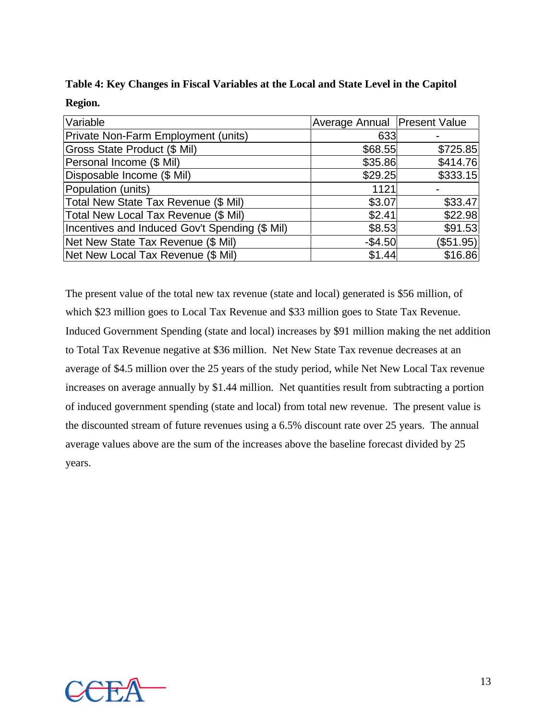| Variable                                       | Average Annual   Present Value |           |
|------------------------------------------------|--------------------------------|-----------|
| Private Non-Farm Employment (units)            | 633                            |           |
| Gross State Product (\$ Mil)                   | \$68.55                        | \$725.85  |
| Personal Income (\$ Mil)                       | \$35.86                        | \$414.76  |
| Disposable Income (\$ Mil)                     | \$29.25                        | \$333.15  |
| Population (units)                             | 1121                           |           |
| Total New State Tax Revenue (\$ Mil)           | \$3.07                         | \$33.47   |
| Total New Local Tax Revenue (\$ Mil)           | \$2.41                         | \$22.98   |
| Incentives and Induced Gov't Spending (\$ Mil) | \$8.53                         | \$91.53   |
| Net New State Tax Revenue (\$ Mil)             | $-$4.50$                       | (\$51.95) |
| Net New Local Tax Revenue (\$ Mil)             | \$1.44                         | \$16.86   |

|         |  | Table 4: Key Changes in Fiscal Variables at the Local and State Level in the Capitol |
|---------|--|--------------------------------------------------------------------------------------|
| Region. |  |                                                                                      |

The present value of the total new tax revenue (state and local) generated is \$56 million, of which \$23 million goes to Local Tax Revenue and \$33 million goes to State Tax Revenue. Induced Government Spending (state and local) increases by \$91 million making the net addition to Total Tax Revenue negative at \$36 million. Net New State Tax revenue decreases at an average of \$4.5 million over the 25 years of the study period, while Net New Local Tax revenue increases on average annually by \$1.44 million. Net quantities result from subtracting a portion of induced government spending (state and local) from total new revenue. The present value is the discounted stream of future revenues using a 6.5% discount rate over 25 years. The annual average values above are the sum of the increases above the baseline forecast divided by 25 years.

![](_page_13_Picture_3.jpeg)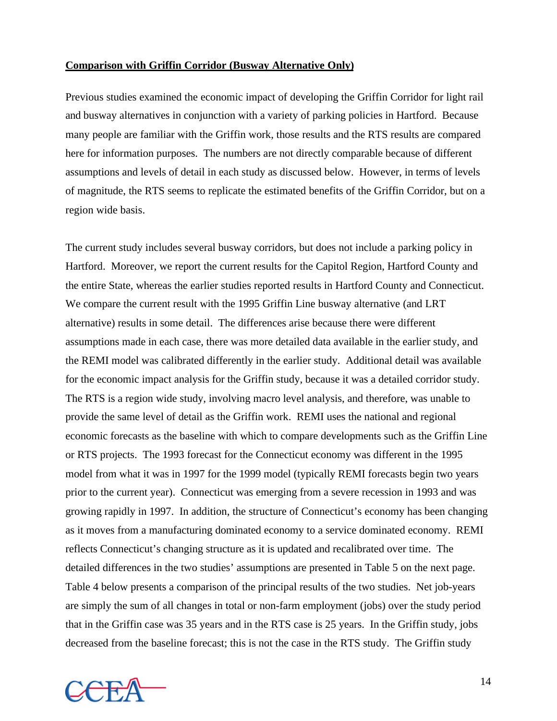#### **Comparison with Griffin Corridor (Busway Alternative Only)**

Previous studies examined the economic impact of developing the Griffin Corridor for light rail and busway alternatives in conjunction with a variety of parking policies in Hartford. Because many people are familiar with the Griffin work, those results and the RTS results are compared here for information purposes. The numbers are not directly comparable because of different assumptions and levels of detail in each study as discussed below. However, in terms of levels of magnitude, the RTS seems to replicate the estimated benefits of the Griffin Corridor, but on a region wide basis.

The current study includes several busway corridors, but does not include a parking policy in Hartford. Moreover, we report the current results for the Capitol Region, Hartford County and the entire State, whereas the earlier studies reported results in Hartford County and Connecticut. We compare the current result with the 1995 Griffin Line busway alternative (and LRT alternative) results in some detail. The differences arise because there were different assumptions made in each case, there was more detailed data available in the earlier study, and the REMI model was calibrated differently in the earlier study. Additional detail was available for the economic impact analysis for the Griffin study, because it was a detailed corridor study. The RTS is a region wide study, involving macro level analysis, and therefore, was unable to provide the same level of detail as the Griffin work. REMI uses the national and regional economic forecasts as the baseline with which to compare developments such as the Griffin Line or RTS projects. The 1993 forecast for the Connecticut economy was different in the 1995 model from what it was in 1997 for the 1999 model (typically REMI forecasts begin two years prior to the current year). Connecticut was emerging from a severe recession in 1993 and was growing rapidly in 1997. In addition, the structure of Connecticut's economy has been changing as it moves from a manufacturing dominated economy to a service dominated economy. REMI reflects Connecticut's changing structure as it is updated and recalibrated over time. The detailed differences in the two studies' assumptions are presented in Table 5 on the next page. Table 4 below presents a comparison of the principal results of the two studies. Net job-years are simply the sum of all changes in total or non-farm employment (jobs) over the study period that in the Griffin case was 35 years and in the RTS case is 25 years. In the Griffin study, jobs decreased from the baseline forecast; this is not the case in the RTS study. The Griffin study

![](_page_14_Picture_3.jpeg)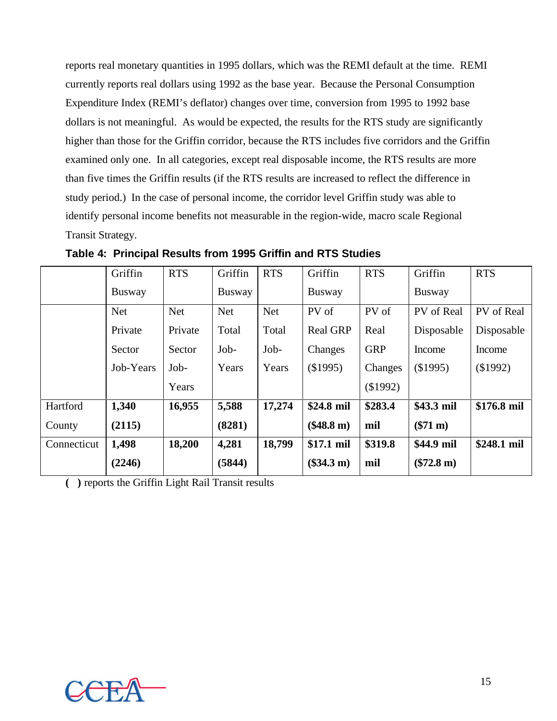reports real monetary quantities in 1995 dollars, which was the REMI default at the time. REMI currently reports real dollars using 1992 as the base year. Because the Personal Consumption Expenditure Index (REMI's deflator) changes over time, conversion from 1995 to 1992 base dollars is not meaningful. As would be expected, the results for the RTS study are significantly higher than those for the Griffin corridor, because the RTS includes five corridors and the Griffin examined only one. In all categories, except real disposable income, the RTS results are more than five times the Griffin results (if the RTS results are increased to reflect the difference in study period.) In the case of personal income, the corridor level Griffin study was able to identify personal income benefits not measurable in the region-wide, macro scale Regional Transit Strategy.

|             | Griffin       | <b>RTS</b> | Griffin       | <b>RTS</b> | Griffin         | <b>RTS</b> | Griffin       | <b>RTS</b>  |
|-------------|---------------|------------|---------------|------------|-----------------|------------|---------------|-------------|
|             | <b>Busway</b> |            | <b>Busway</b> |            | <b>Busway</b>   |            | <b>Busway</b> |             |
|             | <b>Net</b>    | <b>Net</b> | <b>Net</b>    | <b>Net</b> | PV of           | PV of      | PV of Real    | PV of Real  |
|             | Private       | Private    | Total         | Total      | <b>Real GRP</b> | Real       | Disposable    | Disposable  |
|             | Sector        | Sector     | Job-          | Job-       | Changes         | <b>GRP</b> | Income        | Income      |
|             | Job-Years     | Job-       | Years         | Years      | (\$1995)        | Changes    | (\$1995)      | (\$1992)    |
|             |               | Years      |               |            |                 | (\$1992)   |               |             |
| Hartford    | 1,340         | 16,955     | 5,588         | 17,274     | \$24.8 mil      | \$283.4    | \$43.3 mil    | \$176.8 mil |
| County      | (2115)        |            | (8281)        |            | $(\$48.8 m)$    | mil        | $(\$71 m)$    |             |
| Connecticut | 1,498         | 18,200     | 4,281         | 18,799     | \$17.1 mil      | \$319.8    | \$44.9 mil    | \$248.1 mil |
|             | (2246)        |            | (5844)        |            | $(\$34.3 m)$    | mil        | $(\$72.8 m)$  |             |

**Table 4: Principal Results from 1995 Griffin and RTS Studies**

**( )** reports the Griffin Light Rail Transit results

![](_page_15_Picture_4.jpeg)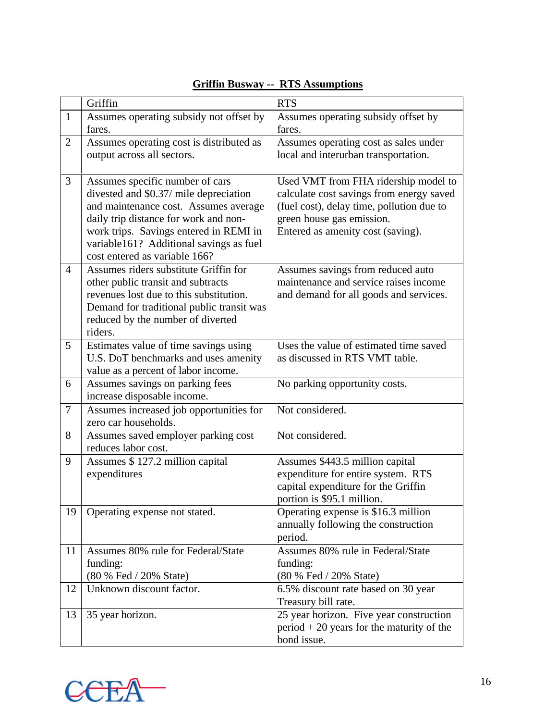|                | Griffin                                   | <b>RTS</b>                                  |
|----------------|-------------------------------------------|---------------------------------------------|
| $\mathbf{1}$   | Assumes operating subsidy not offset by   | Assumes operating subsidy offset by         |
|                | fares.                                    | fares.                                      |
| 2              | Assumes operating cost is distributed as  | Assumes operating cost as sales under       |
|                | output across all sectors.                | local and interurban transportation.        |
|                |                                           |                                             |
| 3              | Assumes specific number of cars           | Used VMT from FHA ridership model to        |
|                | divested and \$0.37/ mile depreciation    | calculate cost savings from energy saved    |
|                | and maintenance cost. Assumes average     | (fuel cost), delay time, pollution due to   |
|                | daily trip distance for work and non-     | green house gas emission.                   |
|                | work trips. Savings entered in REMI in    | Entered as amenity cost (saving).           |
|                | variable161? Additional savings as fuel   |                                             |
|                | cost entered as variable 166?             |                                             |
| $\overline{4}$ | Assumes riders substitute Griffin for     | Assumes savings from reduced auto           |
|                | other public transit and subtracts        | maintenance and service raises income       |
|                | revenues lost due to this substitution.   | and demand for all goods and services.      |
|                | Demand for traditional public transit was |                                             |
|                | reduced by the number of diverted         |                                             |
|                | riders.                                   |                                             |
| 5              | Estimates value of time savings using     | Uses the value of estimated time saved      |
|                | U.S. DoT benchmarks and uses amenity      | as discussed in RTS VMT table.              |
|                | value as a percent of labor income.       |                                             |
| 6              | Assumes savings on parking fees           | No parking opportunity costs.               |
|                | increase disposable income.               |                                             |
| $\overline{7}$ | Assumes increased job opportunities for   | Not considered.                             |
|                | zero car households.                      |                                             |
| 8              | Assumes saved employer parking cost       | Not considered.                             |
|                | reduces labor cost.                       |                                             |
| 9              | Assumes \$127.2 million capital           | Assumes \$443.5 million capital             |
|                | expenditures                              | expenditure for entire system. RTS          |
|                |                                           | capital expenditure for the Griffin         |
|                |                                           | portion is \$95.1 million.                  |
| 19             | Operating expense not stated.             | Operating expense is \$16.3 million         |
|                |                                           | annually following the construction         |
|                |                                           | period.                                     |
| 11             | Assumes 80% rule for Federal/State        | Assumes 80% rule in Federal/State           |
|                | funding:                                  | funding:                                    |
|                | (80 % Fed / 20% State)                    | (80 % Fed / 20% State)                      |
| 12             | Unknown discount factor.                  | 6.5% discount rate based on 30 year         |
|                |                                           | Treasury bill rate.                         |
| 13             | 35 year horizon.                          | 25 year horizon. Five year construction     |
|                |                                           | $period + 20$ years for the maturity of the |
|                |                                           | bond issue.                                 |

## **Griffin Busway -- RTS Assumptions**

![](_page_16_Picture_2.jpeg)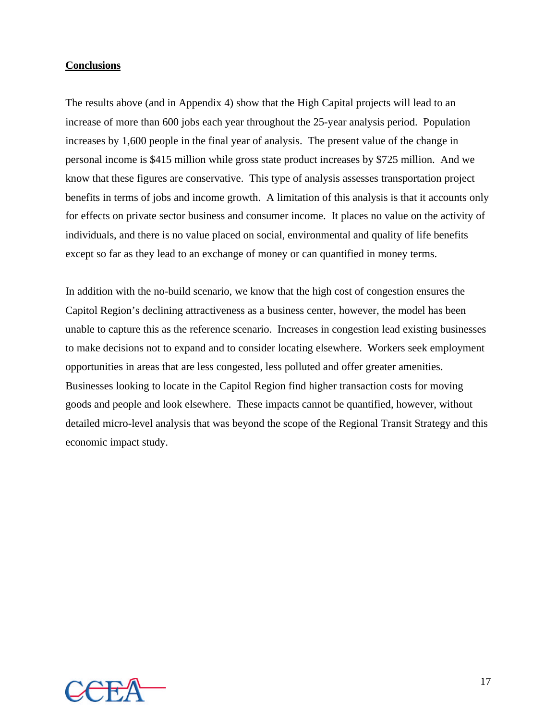#### **Conclusions**

The results above (and in Appendix 4) show that the High Capital projects will lead to an increase of more than 600 jobs each year throughout the 25-year analysis period. Population increases by 1,600 people in the final year of analysis. The present value of the change in personal income is \$415 million while gross state product increases by \$725 million. And we know that these figures are conservative. This type of analysis assesses transportation project benefits in terms of jobs and income growth. A limitation of this analysis is that it accounts only for effects on private sector business and consumer income. It places no value on the activity of individuals, and there is no value placed on social, environmental and quality of life benefits except so far as they lead to an exchange of money or can quantified in money terms.

In addition with the no-build scenario, we know that the high cost of congestion ensures the Capitol Region's declining attractiveness as a business center, however, the model has been unable to capture this as the reference scenario. Increases in congestion lead existing businesses to make decisions not to expand and to consider locating elsewhere. Workers seek employment opportunities in areas that are less congested, less polluted and offer greater amenities. Businesses looking to locate in the Capitol Region find higher transaction costs for moving goods and people and look elsewhere. These impacts cannot be quantified, however, without detailed micro-level analysis that was beyond the scope of the Regional Transit Strategy and this economic impact study.

![](_page_17_Picture_3.jpeg)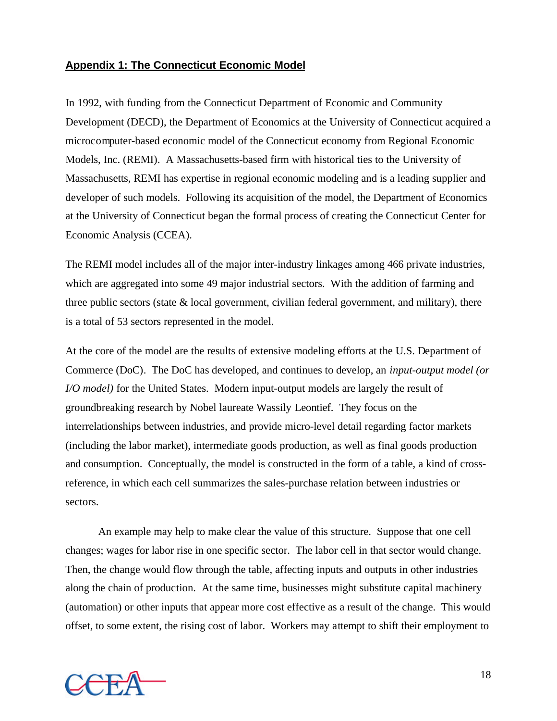#### **Appendix 1: The Connecticut Economic Model**

In 1992, with funding from the Connecticut Department of Economic and Community Development (DECD), the Department of Economics at the University of Connecticut acquired a microcomputer-based economic model of the Connecticut economy from Regional Economic Models, Inc. (REMI). A Massachusetts-based firm with historical ties to the University of Massachusetts, REMI has expertise in regional economic modeling and is a leading supplier and developer of such models. Following its acquisition of the model, the Department of Economics at the University of Connecticut began the formal process of creating the Connecticut Center for Economic Analysis (CCEA).

The REMI model includes all of the major inter-industry linkages among 466 private industries, which are aggregated into some 49 major industrial sectors. With the addition of farming and three public sectors (state  $\&$  local government, civilian federal government, and military), there is a total of 53 sectors represented in the model.

At the core of the model are the results of extensive modeling efforts at the U.S. Department of Commerce (DoC). The DoC has developed, and continues to develop, an *input-output model (or I/O model*) for the United States. Modern input-output models are largely the result of groundbreaking research by Nobel laureate Wassily Leontief. They focus on the interrelationships between industries, and provide micro-level detail regarding factor markets (including the labor market), intermediate goods production, as well as final goods production and consumption. Conceptually, the model is constructed in the form of a table, a kind of crossreference, in which each cell summarizes the sales-purchase relation between industries or sectors.

An example may help to make clear the value of this structure. Suppose that one cell changes; wages for labor rise in one specific sector. The labor cell in that sector would change. Then, the change would flow through the table, affecting inputs and outputs in other industries along the chain of production. At the same time, businesses might substitute capital machinery (automation) or other inputs that appear more cost effective as a result of the change. This would offset, to some extent, the rising cost of labor. Workers may attempt to shift their employment to

![](_page_18_Picture_5.jpeg)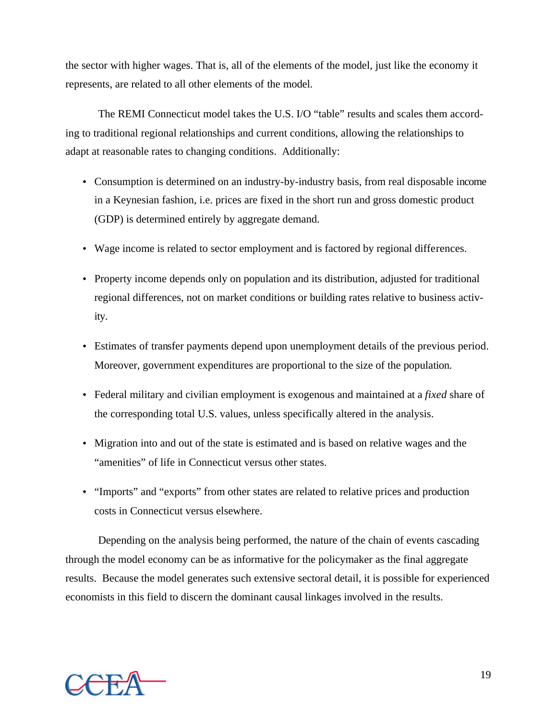the sector with higher wages. That is, all of the elements of the model, just like the economy it represents, are related to all other elements of the model.

The REMI Connecticut model takes the U.S. I/O "table" results and scales them according to traditional regional relationships and current conditions, allowing the relationships to adapt at reasonable rates to changing conditions. Additionally:

- Consumption is determined on an industry-by-industry basis, from real disposable income in a Keynesian fashion, i.e. prices are fixed in the short run and gross domestic product (GDP) is determined entirely by aggregate demand.
- Wage income is related to sector employment and is factored by regional differences.
- Property income depends only on population and its distribution, adjusted for traditional regional differences, not on market conditions or building rates relative to business activity.
- Estimates of transfer payments depend upon unemployment details of the previous period. Moreover, government expenditures are proportional to the size of the population.
- Federal military and civilian employment is exogenous and maintained at a *fixed* share of the corresponding total U.S. values, unless specifically altered in the analysis.
- Migration into and out of the state is estimated and is based on relative wages and the "amenities" of life in Connecticut versus other states.
- "Imports" and "exports" from other states are related to relative prices and production costs in Connecticut versus elsewhere.

Depending on the analysis being performed, the nature of the chain of events cascading through the model economy can be as informative for the policymaker as the final aggregate results. Because the model generates such extensive sectoral detail, it is possible for experienced economists in this field to discern the dominant causal linkages involved in the results.

![](_page_19_Picture_10.jpeg)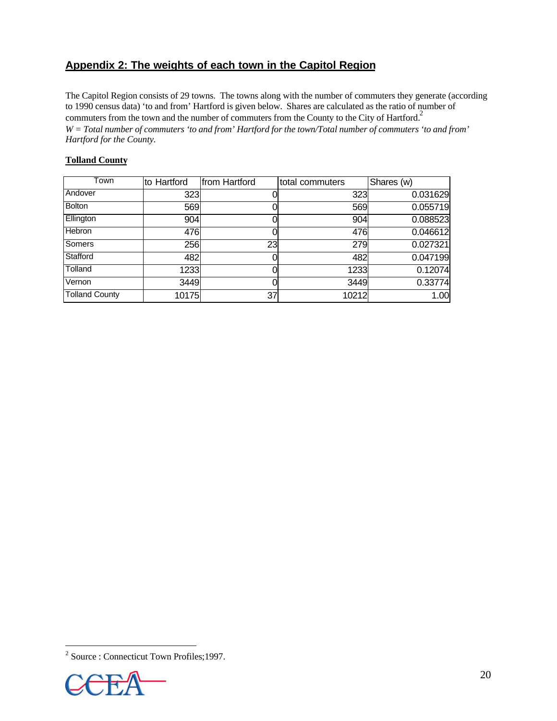### **Appendix 2: The weights of each town in the Capitol Region**

The Capitol Region consists of 29 towns. The towns along with the number of commuters they generate (according to 1990 census data) 'to and from' Hartford is given below. Shares are calculated as the ratio of number of commuters from the town and the number of commuters from the County to the City of Hartford.<sup>2</sup> *W = Total number of commuters 'to and from' Hartford for the town/Total number of commuters 'to and from' Hartford for the County.*

#### **Tolland County**

| Town                  | to Hartford | from Hartford | total commuters | Shares (w) |
|-----------------------|-------------|---------------|-----------------|------------|
| Andover               | 323         |               | 323             | 0.031629   |
| Bolton                | 569         |               | 569             | 0.055719   |
| Ellington             | 904         |               | 904             | 0.088523   |
| Hebron                | 476         |               | 476             | 0.046612   |
| Somers                | 256         | 23            | 279             | 0.027321   |
| Stafford              | 482         |               | 482             | 0.047199   |
| Tolland               | 1233        |               | 1233            | 0.12074    |
| Vernon                | 3449        |               | 3449            | 0.33774    |
| <b>Tolland County</b> | 10175       | 37            | 10212           | 1.00       |

 2 Source : Connecticut Town Profiles;1997.

![](_page_20_Picture_5.jpeg)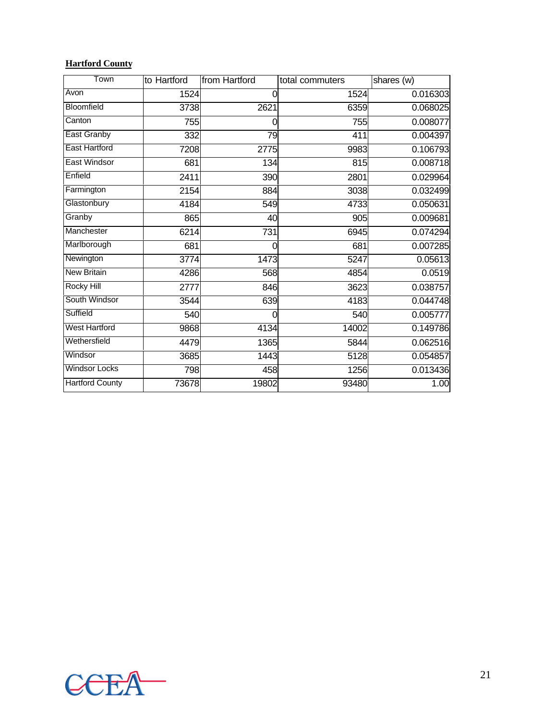### **Hartford County**

| Town                   | to Hartford | from Hartford | total commuters  | shares (w) |
|------------------------|-------------|---------------|------------------|------------|
| Avon                   | 1524        | 0             | 1524             | 0.016303   |
| Bloomfield             | 3738        | 2621          | 6359             | 0.068025   |
| Canton                 | 755         | 0             | 755              | 0.008077   |
| <b>East Granby</b>     | 332         | 79            | 411              | 0.004397   |
| <b>East Hartford</b>   | 7208        | 2775          | 9983             | 0.106793   |
| <b>East Windsor</b>    | 681         | 134           | $\overline{815}$ | 0.008718   |
| Enfield                | 2411        | 390           | 2801             | 0.029964   |
| Farmington             | 2154        | 884           | 3038             | 0.032499   |
| Glastonbury            | 4184        | 549           | 4733             | 0.050631   |
| Granby                 | 865         | 40            | 905              | 0.009681   |
| Manchester             | 6214        | 731           | 6945             | 0.074294   |
| Marlborough            | 681         | 0             | 681              | 0.007285   |
| Newington              | 3774        | 1473          | 5247             | 0.05613    |
| <b>New Britain</b>     | 4286        | 568           | 4854             | 0.0519     |
| <b>Rocky Hill</b>      | 2777        | 846           | 3623             | 0.038757   |
| South Windsor          | 3544        | 639           | 4183             | 0.044748   |
| Suffield               | 540         | $\Omega$      | 540              | 0.005777   |
| <b>West Hartford</b>   | 9868        | 4134          | 14002            | 0.149786   |
| Wethersfield           | 4479        | 1365          | 5844             | 0.062516   |
| Windsor                | 3685        | 1443          | 5128             | 0.054857   |
| <b>Windsor Locks</b>   | 798         | 458           | 1256             | 0.013436   |
| <b>Hartford County</b> | 73678       | 19802         | 93480            | 1.00       |

![](_page_21_Picture_2.jpeg)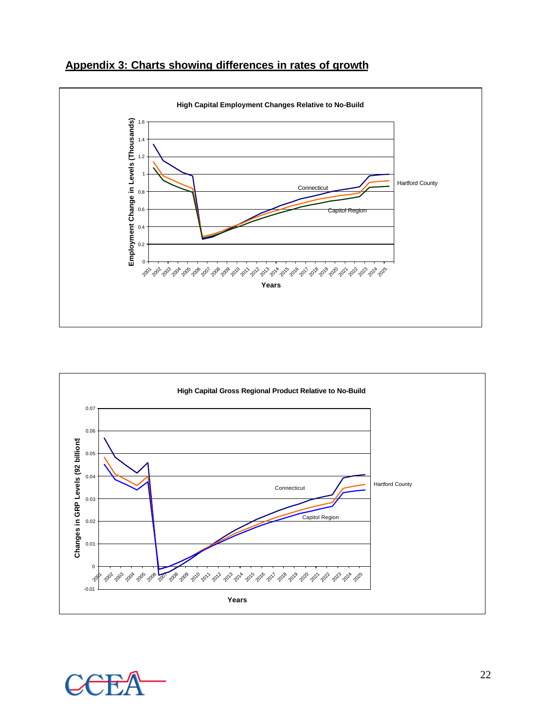![](_page_22_Figure_0.jpeg)

![](_page_22_Figure_1.jpeg)

![](_page_22_Figure_2.jpeg)

![](_page_22_Picture_3.jpeg)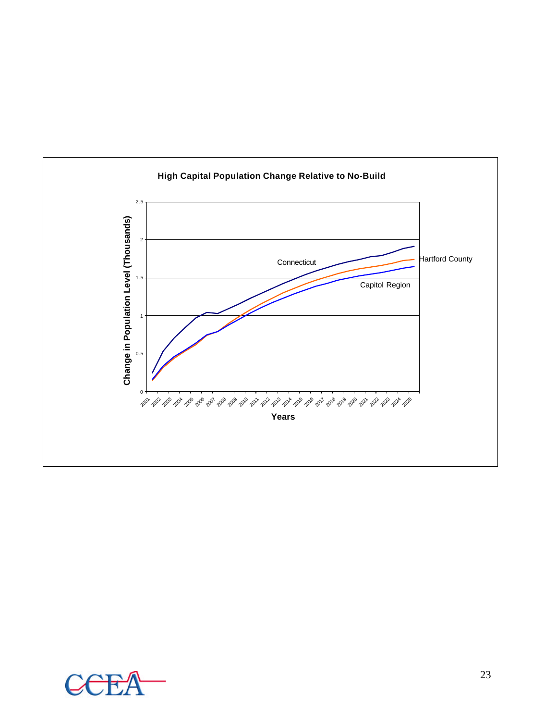![](_page_23_Figure_0.jpeg)

![](_page_23_Picture_1.jpeg)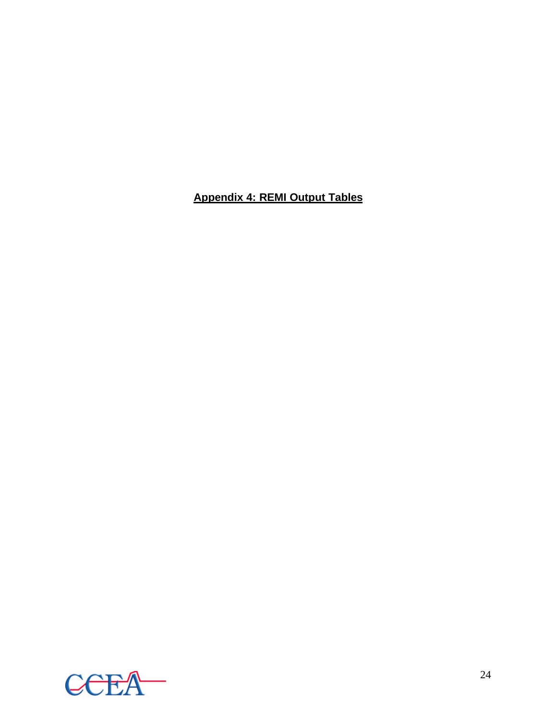## **Appendix 4: REMI Output Tables**

![](_page_24_Picture_1.jpeg)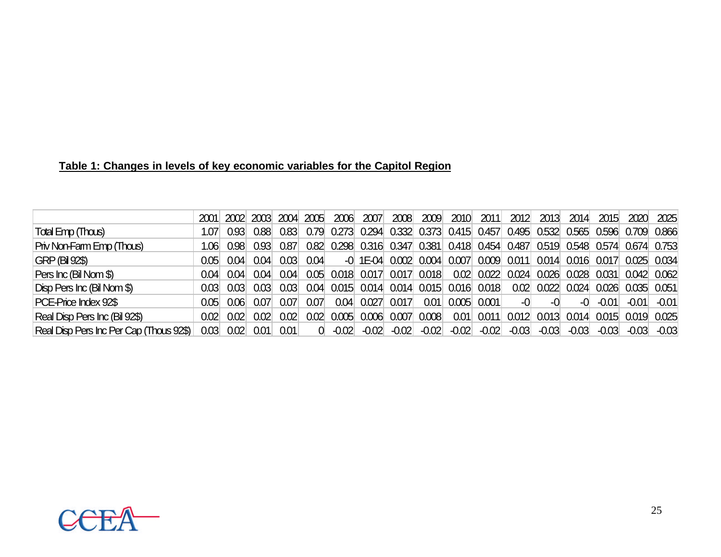## **Table 1: Changes in levels of key economic variables for the Capitol Region**

|                                         | 2001              |                   | 2002 2003 | 2004 | 2005 | 2006    | 2007    | 2008                    | 2009  | 2010                                                                         | 2011         | 2012    | 2013    | 2014                                | 2015    | 2020    | 2025                |
|-----------------------------------------|-------------------|-------------------|-----------|------|------|---------|---------|-------------------------|-------|------------------------------------------------------------------------------|--------------|---------|---------|-------------------------------------|---------|---------|---------------------|
| Total Emp (Thous)                       | 1.07              | 0.93 <sub>1</sub> | 0.88      | 0.83 | 0.79 |         |         |                         |       | 0.273 0.294 0.332 0.373 0.415 0.457 0.495 0.532 0.565 0.596 0.709 0.866      |              |         |         |                                     |         |         |                     |
| Priv Non-Farm Emp (Thous)               | 1.06              | 0.98 <sup>°</sup> | 0.93      | 0.87 |      |         |         |                         |       | 0.82 0.298 0.316 0.347 0.381 0.418 0.454 0.487 0.519 0.548 0.574 0.674 0.753 |              |         |         |                                     |         |         |                     |
| <b>GRP (Bil 92\$)</b>                   | 0.05 <sub>1</sub> | 0.04              | 0.04      | 0.03 | 0.04 |         |         |                         |       | $-0$ 1E-04 0.002 0.004 0.007 0.009 0.011 0.014 0.016 0.017                   |              |         |         |                                     |         |         | 0.025 0.034         |
| Pers Inc (Bil Nom \$)                   | 0.04              | 0.04              | 0.04      | 0.04 |      |         |         |                         |       | 0.05 0.018 0.017 0.017 0.018 0.02 0.022 0.024 0.026 0.028 0.031              |              |         |         |                                     |         |         | $0.042 \quad 0.062$ |
| Disp Pers Inc (Bil Nom \$)              | 0.03              | 0.03              | 0.03      | 0.03 |      |         |         |                         |       | 0.04 0.015 0.014 0.014 0.015 0.016 0.018 0.02 0.022 0.024 0.026              |              |         |         |                                     |         |         | $0.035$ $0.051$     |
| PCE-Price Index 92\$                    | 0.05              | 0.06              | 0.071     | 0.07 | 0.07 | 0.04    | 0.027   | 0.017                   |       | $0.01$ 0.005 0.001                                                           |              | $-0$    | $-0$    | -0                                  | $-0.01$ | $-0.01$ | $-0.01$             |
| Real Disp Pers Inc (Bil 92\$)           | 0.02              | 0.02              | 0.02      | 0.02 | 0.02 |         |         | $0.005$ $0.006$ $0.007$ | 0.008 |                                                                              | $0.01$ 0.011 |         |         | 0.012 0.013 0.014 0.015 0.019 0.025 |         |         |                     |
| Real Disp Pers Inc Per Cap (Thous 92\$) | 0.03              | 0.02              | 0.01      | 0.01 | 0    | $-0.02$ | $-0.02$ | $-0.02$                 |       | $-0.02$ $-0.02$                                                              | $-0.02$      | $-0.03$ | $-0.03$ | $-0.03$                             | $-0.03$ | $-0.03$ | $-0.03$             |

![](_page_25_Picture_2.jpeg)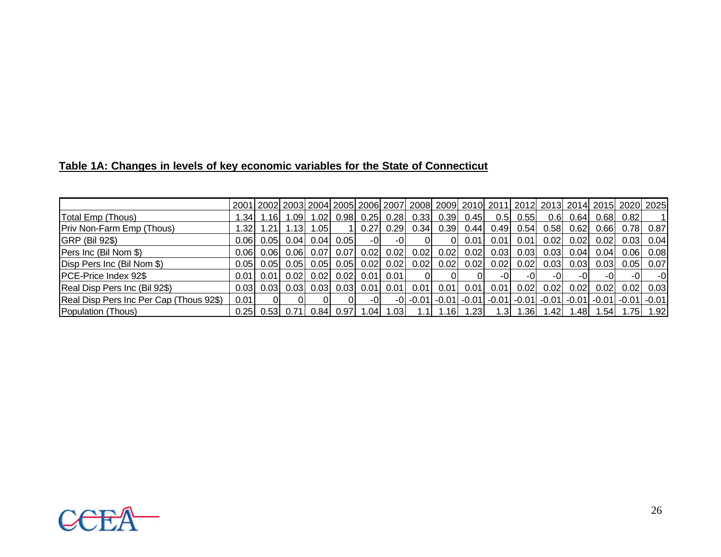|                                         |                   |       |                   |                   |       |                                 |      |      |      |               | 2001  2002  2003  2004  2005  2006  2007  2008  2009  2010  2011  2012  2013  2014  2015  2020  2025 |      |                  |      |       |                              |      |
|-----------------------------------------|-------------------|-------|-------------------|-------------------|-------|---------------------------------|------|------|------|---------------|------------------------------------------------------------------------------------------------------|------|------------------|------|-------|------------------------------|------|
| Total Emp (Thous)                       | .341              | 1.16I | 1.09 <sub>l</sub> | 1.02 <sub>l</sub> |       | $0.98$ 0.25 0.28                |      | 0.33 | 0.39 | 0.45          | 0.5                                                                                                  | 0.55 | 0.6 <sub>l</sub> | 0.64 | 0.68  | 0.82                         |      |
| Priv Non-Farm Emp (Thous)               | .321              | 1.211 | 1.13              | l.05l             |       | II 0.271                        | 0.29 | 0.34 | 0.39 | 0.44          | 0.49                                                                                                 | 0.54 | 0.58             | 0.62 | 0.66  | 0.78                         | 0.87 |
| <b>GRP (Bil 92\$)</b>                   | 0.061             | 0.051 |                   | 0.04  0.04        | 0.051 | $-01$                           | -0I  | 0I   | 0I   | 0.01          | 0.011                                                                                                | 0.01 | 0.02             | 0.02 | 0.021 | 0.03                         | 0.04 |
| Pers Inc (Bil Nom \$)                   | 0.06 <sub>l</sub> | 0.061 |                   | $0.06$ 0.07       |       | $0.07$ 0.02                     | 0.02 | 0.02 | 0.02 | 0.02          | 0.03                                                                                                 | 0.03 | 0.03             | 0.04 | 0.04  | 0.06                         | 0.08 |
| Disp Pers Inc (Bil Nom \$)              | 0.051             | 0.051 |                   | $0.05$ 0.05       |       | $0.05$ 0.02                     | 0.02 | 0.02 | 0.02 | 0.02          | 0.02                                                                                                 | 0.02 | 0.03             | 0.03 | 0.03  | 0.05                         | 0.07 |
| PCE-Price Index 92\$                    | 0.01              | 0.011 |                   |                   |       | $0.02$ 0.02 0.02 0.01 0.01      |      | ΟI   |      |               | -OI                                                                                                  | -OI  | $-()$            | -OI  |       | -01                          | -0   |
| Real Disp Pers Inc (Bil 92\$)           | 0.031             | 0.031 | 0.03              | 0.03              |       | $0.03$ $0.01$                   | 0.01 | 0.01 | 0.01 | 0.01          | 0.01                                                                                                 | 0.02 | 0.02             | 0.02 | 0.02  | 0.02                         | 0.03 |
| Real Disp Pers Inc Per Cap (Thous 92\$) | 0.01              |       |                   |                   | 0I    | -OI                             |      |      |      |               | $-0$   $-0.01$   $-0.01$   $-0.01$   $-0.01$   $-0.01$   $-0.01$   $-0.01$   $-0.01$                 |      |                  |      |       | $-0.01$ -0.01 $\blacksquare$ |      |
| Population (Thous)                      |                   |       |                   |                   |       | $0.25$ 0.53 0.71 0.84 0.97 1.04 | 1.03 |      |      | $1.16$ $1.23$ | 1.3                                                                                                  | 1.36 | 1.42             | 1.48 | l.541 | 1.75                         | 1.92 |

![](_page_26_Picture_2.jpeg)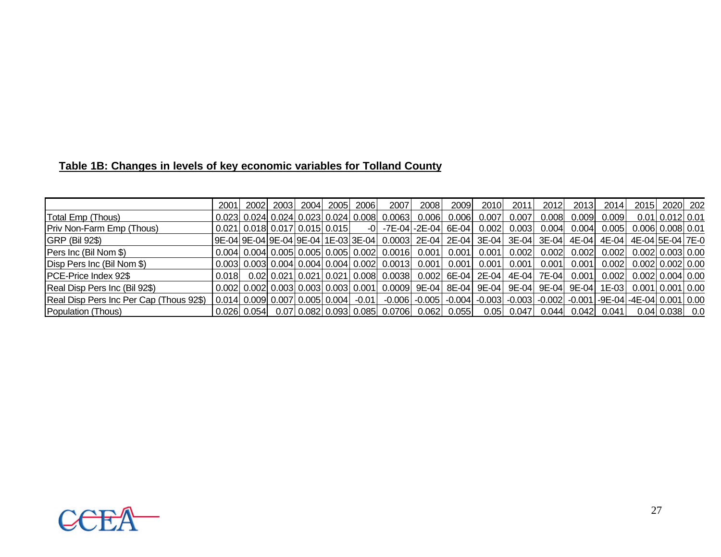## **Table 1B: Changes in levels of key economic variables for Tolland County**

|                                         | 2001  | 2002L | 2003 | 2004 | 2005 | 20061 | 2007                                                                                                              | 2008  | 2009  | 2010  | 2011  | 2012  | 2013  | 2014                                 |                                | 2015 2020 202      |  |
|-----------------------------------------|-------|-------|------|------|------|-------|-------------------------------------------------------------------------------------------------------------------|-------|-------|-------|-------|-------|-------|--------------------------------------|--------------------------------|--------------------|--|
| Total Emp (Thous)                       |       |       |      |      |      |       | $0.023$ 0.024 0.024 0.023 0.024 0.008 0.0063                                                                      | 0.006 | 0.006 | 0.007 | 0.007 | 0.008 | 0.009 | 0.009                                |                                | $0.01$ 0.012 0.01  |  |
| Priv Non-Farm Emp (Thous)               |       |       |      |      |      |       | $0.021$ 0.018 0.017 0.015 0.015 -0 -7E-04 -2E-04 6E-04 0.002 0.003 0.004 0.004 0.005 0.006 0.008 0.01             |       |       |       |       |       |       |                                      |                                |                    |  |
| <b>GRP (Bil 92\$)</b>                   |       |       |      |      |      |       | 9E-04 9E-04 9E-04 9E-04 1E-03 3E-04  0.0003  2E-04  2E-04  3E-04  3E-04  3E-04  4E-04  4E-04  4E-04 5E-04 7E-0    |       |       |       |       |       |       |                                      |                                |                    |  |
| Pers Inc (Bil Nom \$)                   |       |       |      |      |      |       | $0.004$ 0.004 0.005 0.005 0.005 0.002 0.0016 0.001 0.001 0.001 0.002                                              |       |       |       |       |       |       | $0.002$ 0.002 0.002 0.002 0.003 0.00 |                                |                    |  |
| Disp Pers Inc (Bil Nom \$)              |       |       |      |      |      |       | $0.003$ 0.003 0.004 0.004 0.004 0.002 0.0013 0.001 0.001 0.001 0.001                                              |       |       |       |       | 0.001 |       | $0.001$ 0.002 0.002 0.002 0.00       |                                |                    |  |
| PCE-Price Index 92\$                    | 0.018 |       |      |      |      |       | 0.02 0.021 0.021 0.021 0.021 0.008 0.0038 0.002 6 E-04 2 E-04 4 E-04 7 E-04 0.001                                 |       |       |       |       |       |       |                                      | $0.002$ $0.002$ $0.004$ $0.00$ |                    |  |
| Real Disp Pers Inc (Bil 92\$)           |       |       |      |      |      |       | $0.002$ 0.002 0.003 0.003 0.003 0.003 0.001 0.0009 9E-04 8E-04 9E-04 9E-04 9E-04 9E-04 1E-03 0.001 0.001 0.00     |       |       |       |       |       |       |                                      |                                |                    |  |
| Real Disp Pers Inc Per Cap (Thous 92\$) |       |       |      |      |      |       | $(0.014 0.009 0.007 0.005 0.004 $ -0.01 -0.006 -0.005 -0.004 -0.003 -0.003 -0.002 -0.001 -9E-04 -4E-04 0.001 0.00 |       |       |       |       |       |       |                                      |                                |                    |  |
| Population (Thous)                      |       |       |      |      |      |       | $0.026 0.054 $ $0.07 0.082 0.093 0.085 0.0706 0.062 0.055 $ $0.05 0.047 0.044 0.042 0.041 $                       |       |       |       |       |       |       |                                      |                                | 0.04   0.038   0.0 |  |

![](_page_27_Picture_2.jpeg)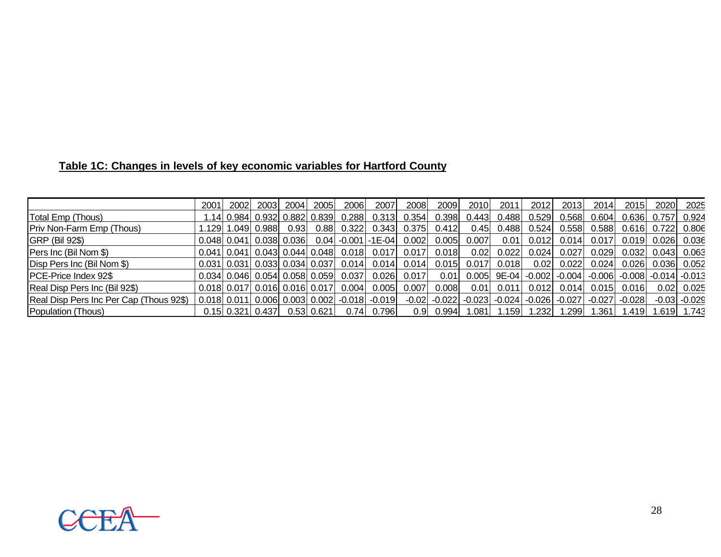|  | Table 1C: Changes in levels of key economic variables for Hartford County |  |
|--|---------------------------------------------------------------------------|--|
|  |                                                                           |  |

|                                         | 2001 | 2002                                    | 2003   | 2004                | 2005             | 2006                                              | 2007          | 2008  | 2009  | 2010                                                                   | 2011                                                    | 2012  | 2013  | 2014   | 2015   | 2020          | 2025             |
|-----------------------------------------|------|-----------------------------------------|--------|---------------------|------------------|---------------------------------------------------|---------------|-------|-------|------------------------------------------------------------------------|---------------------------------------------------------|-------|-------|--------|--------|---------------|------------------|
| Total Emp (Thous)                       | .14  | 0.984                                   |        | 0.932 0.882 0.839   |                  | 0.288                                             | 0.313         | 0.354 | 0.398 | 0.443                                                                  | 0.488                                                   | 0.529 | 0.568 | 0.604  | 0.636  | 0.757         | 0.924            |
| Priv Non-Farm Emp (Thous)               |      | 1.129  1.049                            | 0.9881 | 0.931               | 0.881            | 0.322                                             | 0.343         | 0.375 | 0.412 | 0.451                                                                  | 0.488                                                   | 0.524 | 0.558 | 0.5881 | 0.616  | 0.722         | 0.806            |
| <b>GRP (Bil 92\$)</b>                   |      | $0.048$ 0.041 0.038 0.036               |        |                     |                  | $0.04$ -0.001 -1E-04                              |               | 0.002 | 0.005 | 0.007                                                                  | 0.01                                                    | 0.012 | 0.014 | 0.017  | 0.019  | 0.026         | 0.036            |
| Pers Inc (Bil Nom \$)                   |      | $0.041$   $0.041$                       |        | 0.043  0.044  0.048 |                  | 0.018                                             | 0.017         | 0.017 | 0.018 | 0.02                                                                   | 0.022                                                   | 0.024 | 0.027 | 0.029  | 0.032  | $0.043$ 0.063 |                  |
| Disp Pers Inc (Bil Nom \$)              |      | $0.031$   0.031   0.033   0.034   0.037 |        |                     |                  | 0.014                                             | $0.014$ 0.014 |       |       | $0.015$ 0.017 0.018                                                    |                                                         | 0.02  | 0.022 | 0.024  | 0.026  | $0.036$ 0.052 |                  |
| PCE-Price Index 92\$                    |      | $0.034$ 0.046 0.054 0.058 0.059         |        |                     |                  | 0.037                                             | 0.026         | 0.017 | 0.01  |                                                                        | $0.005$ 9E-04 -0.002 -0.004 -0.006 -0.008 -0.014 -0.013 |       |       |        |        |               |                  |
| Real Disp Pers Inc (Bil 92\$)           |      | $0.018$   0.017  0.016  0.016  0.017    |        |                     |                  | 0.004                                             | 0.005         | 0.007 | 0.008 |                                                                        | $0.01$ 0.011                                            | 0.012 | 0.014 | 0.015  | 0.016  | 0.02          | 0.025            |
| Real Disp Pers Inc Per Cap (Thous 92\$) |      |                                         |        |                     |                  | 0.018  0.011  0.006  0.003  0.002  -0.018  -0.019 |               |       |       | $-0.02$ $-0.022$ $-0.023$ $-0.024$ $-0.026$ $-0.027$ $-0.027$ $-0.028$ |                                                         |       |       |        |        |               | $-0.03$ $-0.029$ |
| Population (Thous)                      |      | $0.15$   $0.321$                        | 0.4371 |                     | $0.53$   $0.621$ |                                                   | 0.74  0.796   |       |       | $0.9$ 0.994 1.081 1.159                                                |                                                         | 1.232 | 1.299 | .3611  | 1.4191 |               | 1.619 1.743      |

![](_page_28_Picture_2.jpeg)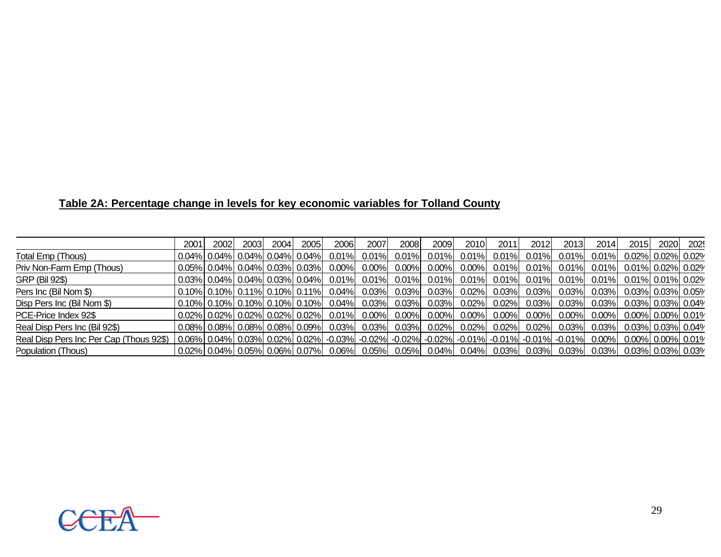## **Table 2A: Percentage change in levels for key economic variables for Tolland County**

|                                         | 2001 | 2002 | 2003 | 2004 | 2005 | 2006 | 2007                                         | 2008     | 2009 | 2010 | 2011                                                                                                                                                                           | 2012 | 2013 | 2014 | 2015                                      | 2020 | 2025 |
|-----------------------------------------|------|------|------|------|------|------|----------------------------------------------|----------|------|------|--------------------------------------------------------------------------------------------------------------------------------------------------------------------------------|------|------|------|-------------------------------------------|------|------|
| <b>Total Emp (Thous)</b>                |      |      |      |      |      |      | $0.04\%$ 0.04% 0.04% 0.04% 0.04% 0.01% 0.01% | $0.01\%$ |      |      | $0.01\%$ 0.01% 0.01% 0.01% 0.01% 0.01% 0.01%                                                                                                                                   |      |      |      | $\vert$ 0.02% $\vert$ 0.02% $\vert$ 0.02% |      |      |
| Priv Non-Farm Emp (Thous)               |      |      |      |      |      |      |                                              |          |      |      | $\sim 0.05\%$ 0.04% 0.04% 0.03% 0.03% 0.00% 0.00% 0.00% 0.00% 0.00% 0.01% 0.01% 0.01% 0.01% 0.01% 0.01% 0.02% 0.02%                                                            |      |      |      |                                           |      |      |
| GRP (Bil 92\$)                          |      |      |      |      |      |      |                                              |          |      |      | $\sim 0.03\%$ 0.04% 0.04% 0.03% 0.04% 0.01% 0.01% 0.01% 0.01% 0.01% 0.01% 0.01% 0.01% 0.01% 0.01% 0.01% 0.01% 0.01% 0.02%                                                      |      |      |      |                                           |      |      |
| Pers Inc (Bil Nom \$)                   |      |      |      |      |      |      |                                              |          |      |      | $\sim$ 0.10% 0.10% 0.11% 0.10% 0.11% 0.04% 0.03% 0.03% 0.03% 0.02% 0.02% 0.03% 0.03% 0.03% 0.03% 0.03% 0.03% 0.05%                                                             |      |      |      |                                           |      |      |
| Disp Pers Inc (Bil Nom \$)              |      |      |      |      |      |      |                                              |          |      |      | $\sim 0.10\%$ 0.10% 0.10% 0.10% 0.10% 0.04% 0.03% 0.03% 0.03% 0.02% 0.02% 0.02% 0.03% 0.03% 0.03% 0.03% 0.03% 0.03% 0.04%                                                      |      |      |      |                                           |      |      |
| PCE-Price Index 92\$                    |      |      |      |      |      |      |                                              |          |      |      | $\sim$ 0.02% 0.02% 0.02% 0.02% 0.02% 0.01% 0.00% 0.00% 0.00% 0.00% 0.00% 0.00% 0.00% 0.00% 0.00% 0.00% 0.00% 0.01%                                                             |      |      |      |                                           |      |      |
| Real Disp Pers Inc (Bil 92\$)           |      |      |      |      |      |      |                                              |          |      |      | $\sim 0.08\%$ $\sim$ 0.08% $\sim$ 0.08% $\sim$ 0.09% $\sim$ 0.03% $\sim$ 0.03% $\sim$ 0.03% $\sim$ 0.02% $\sim$ 0.02% $\sim$ 0.02% $\sim$ 0.03% $\sim$ 0.03% 0.03% 0.03% 0.04% |      |      |      |                                           |      |      |
| Real Disp Pers Inc Per Cap (Thous 92\$) |      |      |      |      |      |      |                                              |          |      |      | $\mid 0.06\% \mid 0.04\% \mid 0.03\% \mid 0.02\% \mid 0.02\% \mid$ -0.03% -0.02% -0.02% -0.02% -0.01% -0.01% -0.01% -0.01% -0.01% 0.00% 0.00% 0.00% 0.00% 0.01%                |      |      |      |                                           |      |      |
| Population (Thous)                      |      |      |      |      |      |      |                                              |          |      |      | 0.02%  0.04%  0.05%  0.06%  0.07%   0.06%   0.05%   0.05%   0.04%   0.04%   0.03%   0.03%   0.03%   0.03%  0.03%  0.03%  0.03%  0.03%                                          |      |      |      |                                           |      |      |

![](_page_29_Picture_2.jpeg)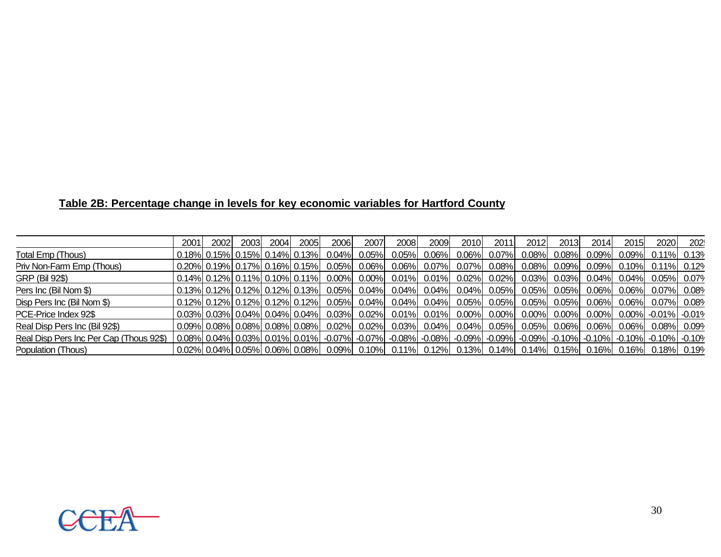|  | Table 2B: Percentage change in levels for key economic variables for Hartford County |  |
|--|--------------------------------------------------------------------------------------|--|
|  |                                                                                      |  |

|                                         | 2001 | 2002 | 2003 | 2004 | 2005                             | 2006 | 2007           | 2008                                                                                                                                                                                                                          | 2009 <b>1</b> | 2010 l               | 2011 <b>1</b> | 2012  | 2013           | 2014     | 2015           | 2020           | 202 |
|-----------------------------------------|------|------|------|------|----------------------------------|------|----------------|-------------------------------------------------------------------------------------------------------------------------------------------------------------------------------------------------------------------------------|---------------|----------------------|---------------|-------|----------------|----------|----------------|----------------|-----|
| Total Emp (Thous)                       |      |      |      |      | $0.18\%$ 0.15% 0.15% 0.14% 0.13% |      | $0.04\%$ 0.05% |                                                                                                                                                                                                                               |               | $0.05\%$ 0.06% 0.06% | $0.07\%$      | 0.08% | $0.08\%$       | $0.09\%$ | 0.09%l         | $0.11\%$ 0.13% |     |
| Priv Non-Farm Emp (Thous)               |      |      |      |      |                                  |      |                | $0.020\%$ 0.19% 0.17% 0.16% 0.15% 0.05% 0.06% 0.06% 0.07% 0.07% 0.08% 0.08% 0.09% 0.09% 0.10% 0.11% 0.12%                                                                                                                     |               |                      |               |       |                |          |                |                |     |
| GRP (Bil 92\$)                          |      |      |      |      |                                  |      |                | $0.014\%$ 0.12% 0.11% 0.10% 0.11% 0.00% 0.00% 0.01% 0.01% 0.02% 0.02% 0.03% 0.03%                                                                                                                                             |               |                      |               |       |                |          | $0.04\%$ 0.04% | 0.05% 0.07%    |     |
| Pers Inc (Bil Nom \$)                   |      |      |      |      |                                  |      |                | $0.013\%$ 0.12% 0.12% 0.12% 0.13% 0.05% 0.04% 0.04% 0.04% 0.04% 0.04% 0.05% 0.05% 0.05% 0.06% 0.06%                                                                                                                           |               |                      |               |       |                |          |                | 0.07% 0.08%    |     |
| Disp Pers Inc (Bil Nom \$)              |      |      |      |      |                                  |      |                | $0.12\%$ 0.12% 0.12% 0.12% 0.12% 0.05% 0.04% 0.04% 0.04% 0.05% 0.05%                                                                                                                                                          |               |                      |               |       | $0.05\%$ 0.05% |          | $0.06\%$ 0.06% | 0.07% 0.08%    |     |
| PCE-Price Index 92\$                    |      |      |      |      |                                  |      |                | $\sim 0.03\%$ 0.03% 0.04% 0.04% 0.04% 0.03% 0.02% 0.01% 0.01% 0.00% 0.00% 0.00% 0.00% 0.00% 0.00% 0.00% 0.01% 0.01%                                                                                                           |               |                      |               |       |                |          |                |                |     |
| Real Disp Pers Inc (Bil 92\$)           |      |      |      |      |                                  |      |                | $0.09\%$ $0.08\%$ $0.08\%$ $0.08\%$ $0.02\%$ $0.02\%$ $0.03\%$ $0.04\%$ $0.04\%$ $0.05\%$ $0.06\%$ $0.06\%$ $0.06\%$ $0.06\%$ $0.08\%$ $0.08\%$ $0.09\%$                                                                      |               |                      |               |       |                |          |                |                |     |
| Real Disp Pers Inc Per Cap (Thous 92\$) |      |      |      |      |                                  |      |                | 0.08%  0.04%  0.03%  0.01%  0.01%  -0.07%  -0.07%  -0.08%  -0.08%  -0.09%  -0.09%  -0.09%  -0.10%  -0.10%  -0.10%  -0.10%  -0.10%  -0.10%  -0.10%  -0.10%  -0.10%  -0.10%  -0.10%  -0.10%  -0.10%  -0.10%  -0.10%  -0.10%  -0 |               |                      |               |       |                |          |                |                |     |
| Population (Thous)                      |      |      |      |      |                                  |      |                | , 0.02%  0.04%  0.05%  0.06%  0.08%   0.09%   0.10%   0.11%   0.12%   0.13%   0.14%   0.14%   0.15%   0.16%   0.16%   0.18%   0.19%   0.19                                                                                    |               |                      |               |       |                |          |                |                |     |

![](_page_30_Picture_2.jpeg)